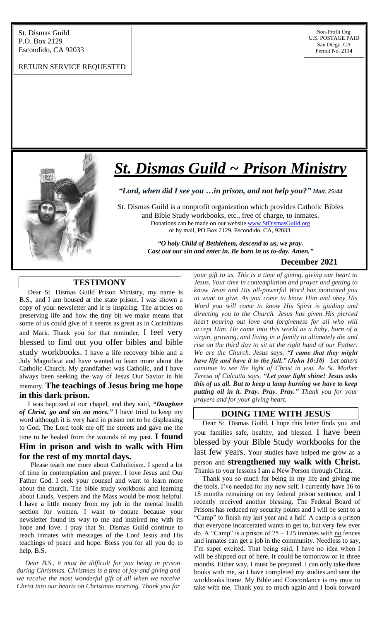#### RETURN SERVICE REQUESTED



# *St. Dismas Guild ~ Prison Ministry*

*"Lord, when did I see you …in prison, and not help you?" Matt. 25:44*

St. Dismas Guild is a nonprofit organization which provides Catholic Bibles and Bible Study workbooks, etc., free of charge, to inmates. Donations can be made on our website [www.StDismasGuild.org](http://www.stdismasguild.org/) or by mail, PO Box 2129, Escondido, CA, 92033.

> *"O holy Child of Bethlehem, descend to us, we pray. Cast out our sin and enter in. Be born in us to-day. Amen."*

## **December 2021**

# **TESTIMONY**

l

 Dear St. Dismas Guild Prison Ministry, my name is B.S., and I am housed at the state prison. I was shown a copy of your newsletter and it is inspiring. The articles on preserving life and how the tiny bit we make means that some of us could give of it seems as great as in Corinthians and Mark. Thank you for that reminder. I feel very blessed to find out you offer bibles and bible study workbooks. I have a life recovery bible and a July Magnificat and have wanted to learn more about the Catholic Church. My grandfather was Catholic, and I have always been seeking the way of Jesus Our Savior in his memory. **The teachings of Jesus bring me hope in this dark prison.**

 I was baptized at our chapel, and they said, *"Daughter of Christ, go and sin no more."* I have tried to keep my word although it is very hard in prison not to be displeasing to God. The Lord took me off the streets and gave me the time to be healed from the wounds of my past. **I found Him in prison and wish to walk with Him**

**for the rest of my mortal days.**  Please teach me more about Catholicism. I spend a lot of time in contemplation and prayer. I love Jesus and Our Father God. I seek your counsel and want to learn more about the church. The bible study workbook and learning about Lauds, Vespers and the Mass would be most helpful. I have a little money from my job in the mental health section for women. I want to donate because your newsletter found its way to me and inspired me with its hope and love. I pray that St. Dismas Guild continue to reach inmates with messages of the Lord Jesus and His teachings of peace and hope. Bless you for all you do to help, B.S.

 *Dear B.S., it must be difficult for you being in prison during Christmas. Christmas is a time of joy and giving and we receive the most wonderful gift of all when we receive Christ into our hearts on Christmas morning. Thank you for*  *your gift to us. This is a time of giving, giving our heart to Jesus. Your time in contemplation and prayer and getting to know Jesus and His all-powerful Word has motivated you to want to give. As you come to know Him and obey His Word you will come to know His Spirit is guiding and directing you to the Church. Jesus has given His pierced heart pouring out love and forgiveness for all who will accept Him. He came into this world as a baby, born of a virgin, growing, and living in a family to ultimately die and rise on the third day to sit at the right hand of our Father. We are the Church. Jesus says, "I came that they might have life and have it to the full." (John 10:10) Let others continue to see the light of Christ in you. As St. Mother Teresa of Calcutta says, "Let your light shine! Jesus asks this of us all. But to keep a lamp burning we have to keep putting oil in it. Pray. Pray. Pray." Thank you for your prayers and for your giving heart.*

# **DOING TIME WITH JESUS**

 Dear St. Dismas Guild, I hope this letter finds you and your families safe, healthy, and blessed. I have been blessed by your Bible Study workbooks for the last few years. Your studies have helped me grow as a person and **strengthened my walk with Christ.** Thanks to your lessons I am a New Person through Christ.

 Thank you so much for being in my life and giving me the tools, I've needed for my new self. I currently have 16 to 18 months remaining on my federal prison sentence, and I recently received another blessing. The Federal Board of Prisons has reduced my security points and I will be sent to a "Camp" to finish my last year and a half. A camp is a prison that everyone incarcerated wants to get to, but very few ever do. A "Camp" is a prison of  $75 - 125$  inmates with  $\underline{no}$  fences and inmates can get a job in the community. Needless to say, I'm super excited. That being said, I have no idea when I will be shipped out of here. It could be tomorrow or in three months. Either way, I must be prepared. I can only take three books with me, so I have completed my studies and sent the workbooks home. My Bible and Concordance is my must to take with me. Thank you so much again and I look forward